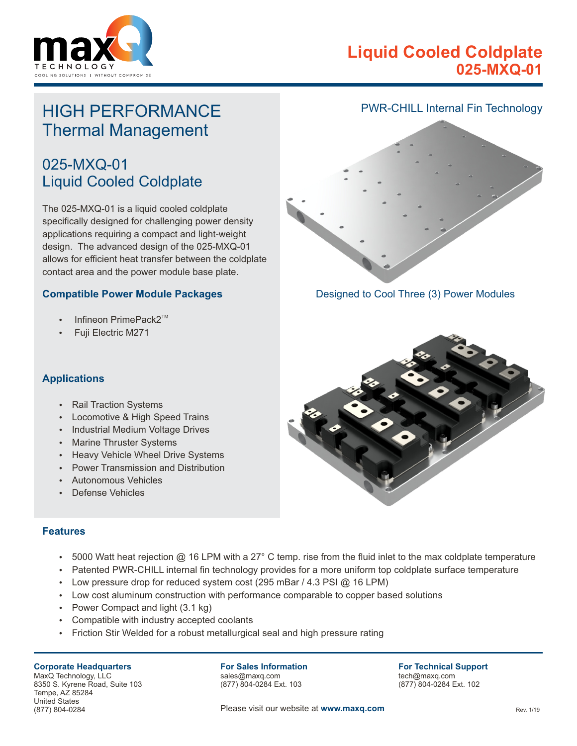

## **Liquid Cooled Coldplate 025-MXQ-01**

# HIGH PERFORMANCE Thermal Management

## 025-MXQ-01 Liquid Cooled Coldplate

The 025-MXQ-01 is a liquid cooled coldplate specifically designed for challenging power density applications requiring a compact and light-weight design. The advanced design of the 025-MXQ-01 allows for efficient heat transfer between the coldplate contact area and the power module base plate.

#### **Compatible Power Module Packages**

- $\bullet$ Infineon PrimePack2™
- Fuji Electric M271



Designed to Cool Three (3) Power Modules



#### **Applications**

- **Rail Traction Systems**
- Locomotive & High Speed Trains
- Industrial Medium Voltage Drives
- Marine Thruster Systems
- Heavy Vehicle Wheel Drive Systems
- Power Transmission and Distribution
- Autonomous Vehicles
- Defense Vehicles

#### **Features**

- 5000 Watt heat rejection @ 16 LPM with a 27 $^{\circ}$  C temp. rise from the fluid inlet to the max coldplate temperature
- Patented PWR-CHILL internal fin technology provides for a more uniform top coldplate surface temperature
- Low pressure drop for reduced system cost (295 mBar / 4.3 PSI  $@$  16 LPM)
- Low cost aluminum construction with performance comparable to copper based solutions
- Power Compact and light  $(3.1 \text{ kg})$
- Compatible with industry accepted coolants
- Friction Stir Welded for a robust metallurgical seal and high pressure rating

#### **Corporate Headquarters**

MaxQ Technology, LLC 8350 S. Kyrene Road, Suite 103 Tempe, AZ 85284 United States (877) 804-0284

**For Sales Information** sales@maxq.com

(877) 804-0284 Ext. 103

**For Technical Support** tech@maxq.com (877) 804-0284 Ext. 102